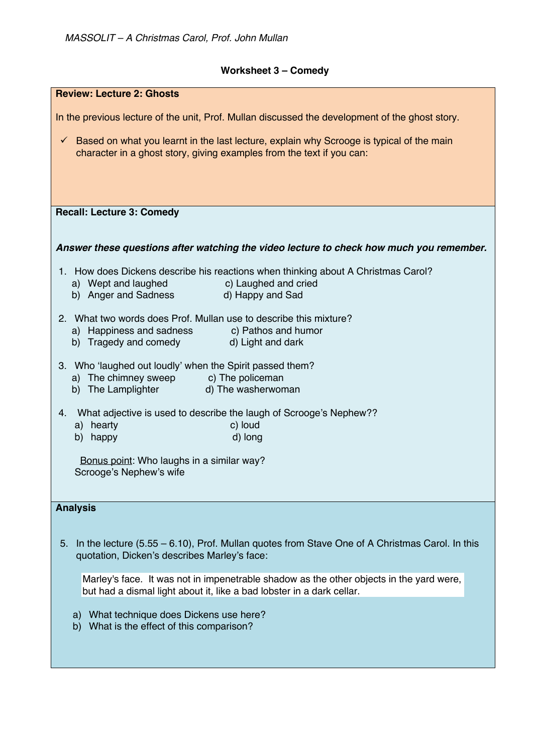## **Worksheet 3 – Comedy**

| <b>Review: Lecture 2: Ghosts</b>                                                                                                                                                  |
|-----------------------------------------------------------------------------------------------------------------------------------------------------------------------------------|
| In the previous lecture of the unit, Prof. Mullan discussed the development of the ghost story.                                                                                   |
|                                                                                                                                                                                   |
| Based on what you learnt in the last lecture, explain why Scrooge is typical of the main<br>$\checkmark$<br>character in a ghost story, giving examples from the text if you can: |
|                                                                                                                                                                                   |
|                                                                                                                                                                                   |
|                                                                                                                                                                                   |
| <b>Recall: Lecture 3: Comedy</b>                                                                                                                                                  |
|                                                                                                                                                                                   |
| Answer these questions after watching the video lecture to check how much you remember.                                                                                           |
| 1. How does Dickens describe his reactions when thinking about A Christmas Carol?                                                                                                 |
| a) Wept and laughed (c) Laughed and cried                                                                                                                                         |
| b) Anger and Sadness d) Happy and Sad                                                                                                                                             |
| 2. What two words does Prof. Mullan use to describe this mixture?                                                                                                                 |
| a) Happiness and sadness c) Pathos and humor<br>b) Tragedy and comedy d) Light and dark                                                                                           |
|                                                                                                                                                                                   |
| 3. Who 'laughed out loudly' when the Spirit passed them?                                                                                                                          |
| a) The chimney sweep c) The policeman                                                                                                                                             |
| b) The Lamplighter and The washerwoman                                                                                                                                            |
| What adjective is used to describe the laugh of Scrooge's Nephew??<br>4.                                                                                                          |
| a) hearty<br>c) loud                                                                                                                                                              |
| d) long<br>b) happy                                                                                                                                                               |
| Bonus point: Who laughs in a similar way?                                                                                                                                         |
| Scrooge's Nephew's wife                                                                                                                                                           |
|                                                                                                                                                                                   |
| <b>Analysis</b>                                                                                                                                                                   |
|                                                                                                                                                                                   |
| In the lecture $(5.55 - 6.10)$ , Prof. Mullan quotes from Stave One of A Christmas Carol. In this<br>5.                                                                           |
| quotation, Dicken's describes Marley's face:                                                                                                                                      |
| Marley's face. It was not in impenetrable shadow as the other objects in the yard were,                                                                                           |
| but had a dismal light about it, like a bad lobster in a dark cellar.                                                                                                             |
|                                                                                                                                                                                   |
| What technique does Dickens use here?<br>a)<br>What is the effect of this comparison?<br>b)                                                                                       |
|                                                                                                                                                                                   |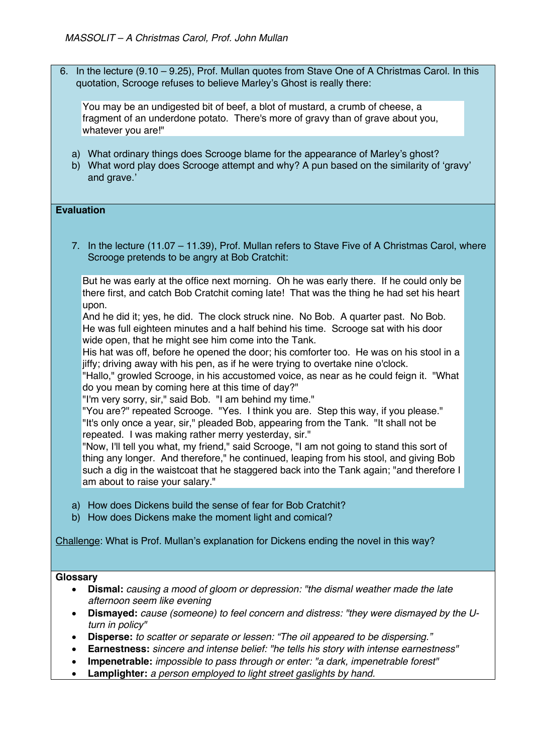6. In the lecture (9.10 – 9.25), Prof. Mullan quotes from Stave One of A Christmas Carol. In this quotation, Scrooge refuses to believe Marley's Ghost is really there:

You may be an undigested bit of beef, a blot of mustard, a crumb of cheese, a fragment of an underdone potato. There's more of gravy than of grave about you, whatever you are!"

- a) What ordinary things does Scrooge blame for the appearance of Marley's ghost?
- b) What word play does Scrooge attempt and why? A pun based on the similarity of 'gravy' and grave.'

## **Evaluation**

7. In the lecture (11.07 – 11.39), Prof. Mullan refers to Stave Five of A Christmas Carol, where Scrooge pretends to be angry at Bob Cratchit:

But he was early at the office next morning. Oh he was early there. If he could only be there first, and catch Bob Cratchit coming late! That was the thing he had set his heart upon.

And he did it; yes, he did. The clock struck nine. No Bob. A quarter past. No Bob. He was full eighteen minutes and a half behind his time. Scrooge sat with his door wide open, that he might see him come into the Tank.

His hat was off, before he opened the door; his comforter too. He was on his stool in a jiffy; driving away with his pen, as if he were trying to overtake nine o'clock.

"Hallo," growled Scrooge, in his accustomed voice, as near as he could feign it. "What do you mean by coming here at this time of day?"

"I'm very sorry, sir," said Bob. "I am behind my time."

"You are?" repeated Scrooge. "Yes. I think you are. Step this way, if you please." "It's only once a year, sir," pleaded Bob, appearing from the Tank. "It shall not be repeated. I was making rather merry yesterday, sir."

"Now, I'll tell you what, my friend," said Scrooge, "I am not going to stand this sort of thing any longer. And therefore," he continued, leaping from his stool, and giving Bob such a dig in the waistcoat that he staggered back into the Tank again; "and therefore I am about to raise your salary."

- a) How does Dickens build the sense of fear for Bob Cratchit?
- b) How does Dickens make the moment light and comical?

Challenge: What is Prof. Mullan's explanation for Dickens ending the novel in this way?

## **Glossary**

- **Dismal:** *causing a mood of gloom or depression: "the dismal weather made the late afternoon seem like evening*
- **Dismayed:** *cause (someone) to feel concern and distress: "they were dismayed by the Uturn in policy"*
- **Disperse:** *to scatter or separate or lessen: "The oil appeared to be dispersing."*
- **Earnestness:** *sincere and intense belief: "he tells his story with intense earnestness"*
- **Impenetrable:** *impossible to pass through or enter: "a dark, impenetrable forest"*
- **Lamplighter:** *a person employed to light street gaslights by hand.*